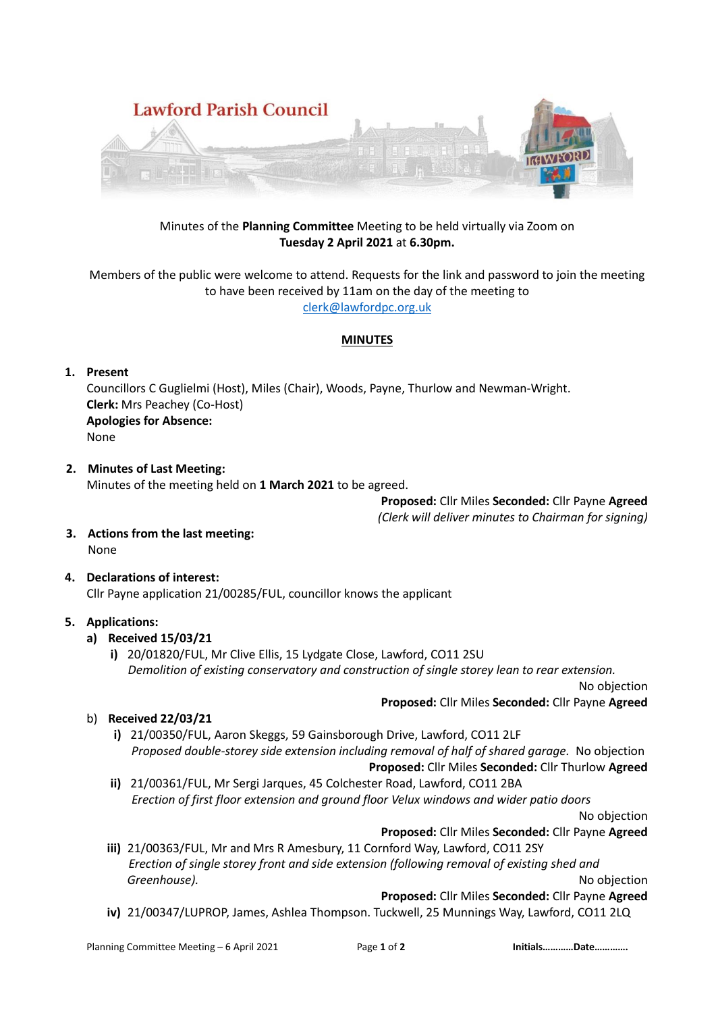

# Minutes of the **Planning Committee** Meeting to be held virtually via Zoom on **Tuesday 2 April 2021** at **6.30pm.**

Members of the public were welcome to attend. Requests for the link and password to join the meeting to have been received by 11am on the day of the meeting to [clerk@lawfordpc.org.uk](mailto:clerk@lawfordpc.org.uk)

#### **MINUTES**

# **1. Present**

Councillors C Guglielmi (Host), Miles (Chair), Woods, Payne, Thurlow and Newman-Wright. **Clerk:** Mrs Peachey (Co-Host) **Apologies for Absence:**  None

#### **2. Minutes of Last Meeting:** Minutes of the meeting held on **1 March 2021** to be agreed.

**Proposed:** Cllr Miles **Seconded:** Cllr Payne **Agreed** *(Clerk will deliver minutes to Chairman for signing)*

- **3. Actions from the last meeting:** None
- **4. Declarations of interest:** Cllr Payne application 21/00285/FUL, councillor knows the applicant

# **5. Applications:**

# **a) Received 15/03/21**

**i)** 20/01820/FUL, Mr Clive Ellis, 15 Lydgate Close, Lawford, CO11 2SU  *Demolition of existing conservatory and construction of single storey lean to rear extension.* 

No objection

**Proposed:** Cllr Miles **Seconded:** Cllr Payne **Agreed**

- b) **Received 22/03/21**
	- **i)** 21/00350/FUL, Aaron Skeggs, 59 Gainsborough Drive, Lawford, CO11 2LF *Proposed double-storey side extension including removal of half of shared garage.* No objection **Proposed:** Cllr Miles **Seconded:** Cllr Thurlow **Agreed**
	- **ii)** 21/00361/FUL, Mr Sergi Jarques, 45 Colchester Road, Lawford, CO11 2BA *Erection of first floor extension and ground floor Velux windows and wider patio doors*

No objection

- **Proposed:** Cllr Miles **Seconded:** Cllr Payne **Agreed**
- **iii)** 21/00363/FUL, Mr and Mrs R Amesbury, 11 Cornford Way, Lawford, CO11 2SY *Erection of single storey front and side extension (following removal of existing shed and Greenhouse).* No objection

**Proposed:** Cllr Miles **Seconded:** Cllr Payne **Agreed**

**iv)** 21/00347/LUPROP, James, Ashlea Thompson. Tuckwell, 25 Munnings Way, Lawford, CO11 2LQ